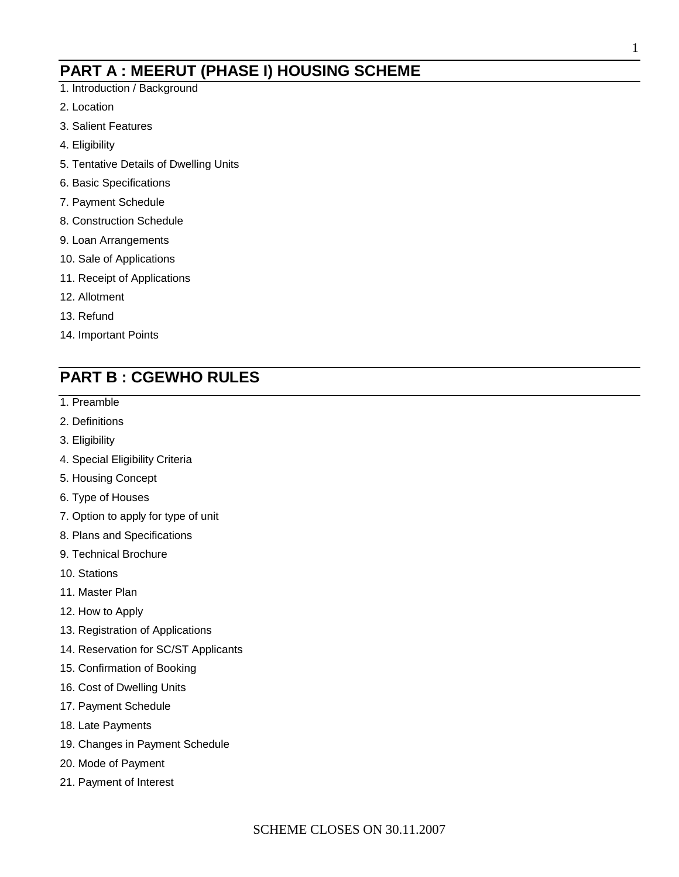## **PART A : MEERUT (PHASE I) HOUSING SCHEME**

- 1. Introduction / Background
- 2. Location
- 3. Salient Features
- 4. Eligibility
- 5. Tentative Details of Dwelling Units
- 6. Basic Specifications
- 7. Payment Schedule
- 8. Construction Schedule
- 9. Loan Arrangements
- 10. Sale of Applications
- 11. Receipt of Applications
- 12. Allotment
- 13. Refund
- 14. Important Points

## **PART B : CGEWHO RULES**

- 1. Preamble
- 2. Definitions
- 3. Eligibility
- 4. Special Eligibility Criteria
- 5. Housing Concept
- 6. Type of Houses
- 7. Option to apply for type of unit
- 8. Plans and Specifications
- 9. Technical Brochure
- 10. Stations
- 11. Master Plan
- 12. How to Apply
- 13. Registration of Applications
- 14. Reservation for SC/ST Applicants
- 15. Confirmation of Booking
- 16. Cost of Dwelling Units
- 17. Payment Schedule
- 18. Late Payments
- 19. Changes in Payment Schedule
- 20. Mode of Payment
- 21. Payment of Interest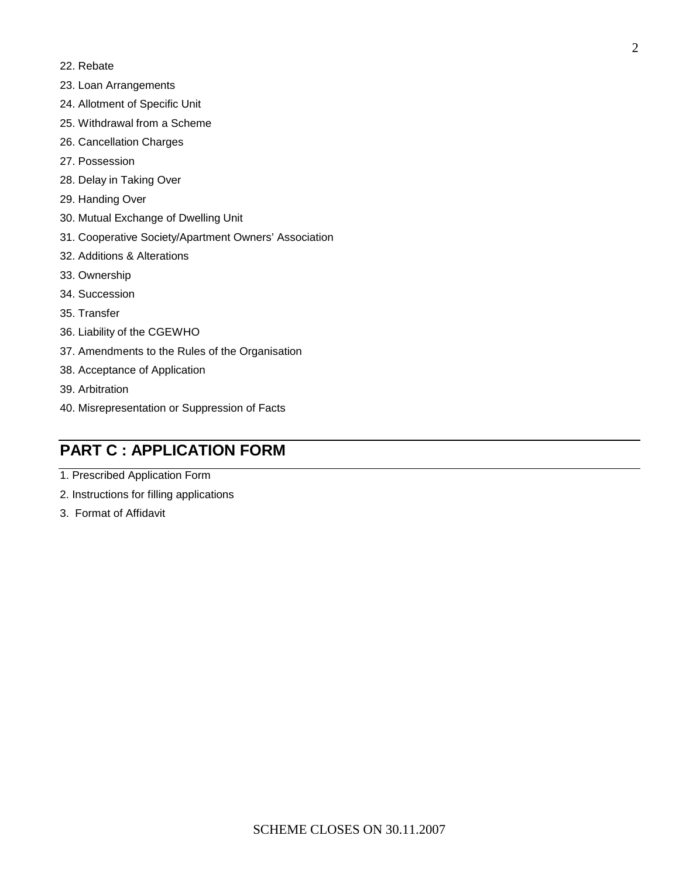- 22. Rebate
- 23. Loan Arrangements
- 24. Allotment of Specific Unit
- 25. Withdrawal from a Scheme
- 26. Cancellation Charges
- 27. Possession
- 28. Delay in Taking Over
- 29. Handing Over
- 30. Mutual Exchange of Dwelling Unit
- 31. Cooperative Society/Apartment Owners' Association
- 32. Additions & Alterations
- 33. Ownership
- 34. Succession
- 35. Transfer
- 36. Liability of the CGEWHO
- 37. Amendments to the Rules of the Organisation
- 38. Acceptance of Application
- 39. Arbitration
- 40. Misrepresentation or Suppression of Facts

## **PART C : APPLICATION FORM**

- 1. Prescribed Application Form
- 2. Instructions for filling applications
- 3. Format of Affidavit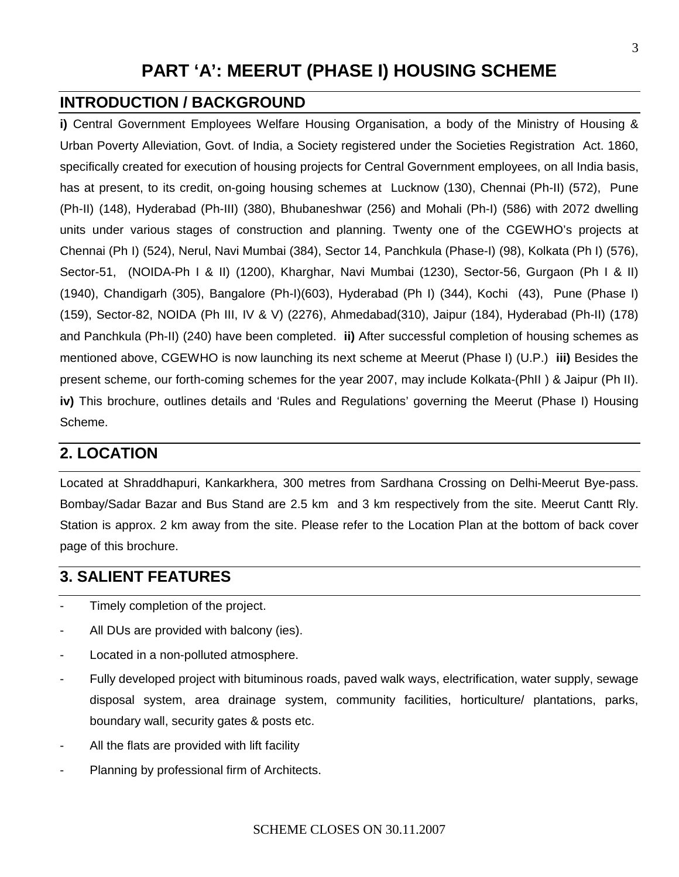# **PART 'A': MEERUT (PHASE I) HOUSING SCHEME**

## **INTRODUCTION / BACKGROUND**

**i)** Central Government Employees Welfare Housing Organisation, a body of the Ministry of Housing & Urban Poverty Alleviation, Govt. of India, a Society registered under the Societies Registration Act. 1860, specifically created for execution of housing projects for Central Government employees, on all India basis, has at present, to its credit, on-going housing schemes at Lucknow (130), Chennai (Ph-II) (572), Pune (Ph-II) (148), Hyderabad (Ph-III) (380), Bhubaneshwar (256) and Mohali (Ph-I) (586) with 2072 dwelling units under various stages of construction and planning. Twenty one of the CGEWHO's projects at Chennai (Ph I) (524), Nerul, Navi Mumbai (384), Sector 14, Panchkula (Phase-I) (98), Kolkata (Ph I) (576), Sector-51, (NOIDA-Ph I & II) (1200), Kharghar, Navi Mumbai (1230), Sector-56, Gurgaon (Ph I & II) (1940), Chandigarh (305), Bangalore (Ph-I)(603), Hyderabad (Ph I) (344), Kochi (43), Pune (Phase I) (159), Sector-82, NOIDA (Ph III, IV & V) (2276), Ahmedabad(310), Jaipur (184), Hyderabad (Ph-II) (178) and Panchkula (Ph-II) (240) have been completed. **ii)** After successful completion of housing schemes as mentioned above, CGEWHO is now launching its next scheme at Meerut (Phase I) (U.P.) **iii)** Besides the present scheme, our forth-coming schemes for the year 2007, may include Kolkata-(PhII ) & Jaipur (Ph II). **iv)** This brochure, outlines details and 'Rules and Regulations' governing the Meerut (Phase I) Housing Scheme.

## **2. LOCATION**

Located at Shraddhapuri, Kankarkhera, 300 metres from Sardhana Crossing on Delhi-Meerut Bye-pass. Bombay/Sadar Bazar and Bus Stand are 2.5 km and 3 km respectively from the site. Meerut Cantt Rly. Station is approx. 2 km away from the site. Please refer to the Location Plan at the bottom of back cover page of this brochure.

## **3. SALIENT FEATURES**

- Timely completion of the project.
- All DUs are provided with balcony (ies).
- Located in a non-polluted atmosphere.
- Fully developed project with bituminous roads, paved walk ways, electrification, water supply, sewage disposal system, area drainage system, community facilities, horticulture/ plantations, parks, boundary wall, security gates & posts etc.
- All the flats are provided with lift facility
- Planning by professional firm of Architects.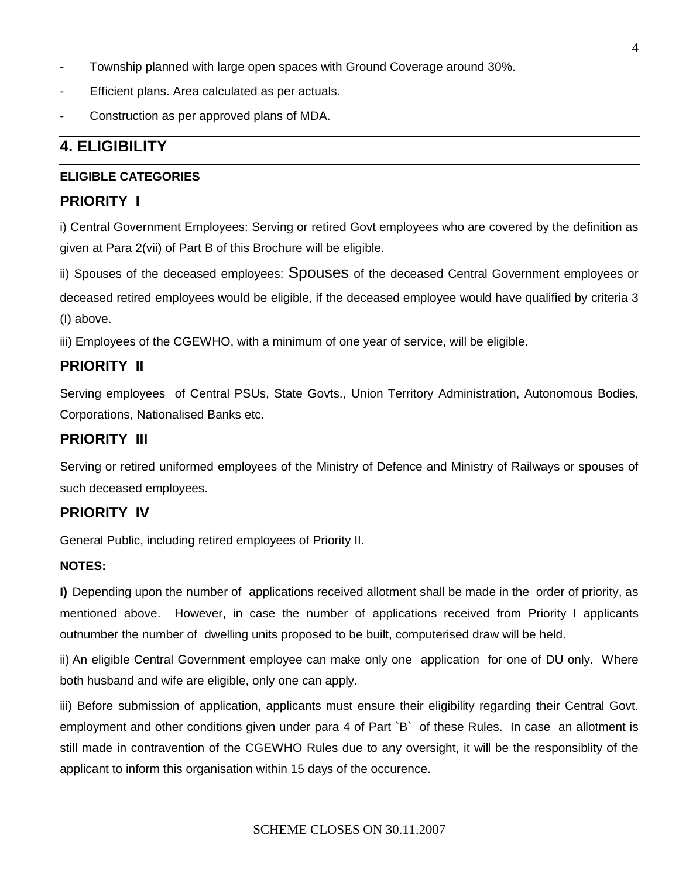- Township planned with large open spaces with Ground Coverage around 30%.
- Efficient plans. Area calculated as per actuals.
- Construction as per approved plans of MDA.

## **4. ELIGIBILITY**

#### **ELIGIBLE CATEGORIES**

#### **PRIORITY I**

i) Central Government Employees: Serving or retired Govt employees who are covered by the definition as given at Para 2(vii) of Part B of this Brochure will be eligible.

ii) Spouses of the deceased employees: Spouses of the deceased Central Government employees or deceased retired employees would be eligible, if the deceased employee would have qualified by criteria 3 (I) above.

iii) Employees of the CGEWHO, with a minimum of one year of service, will be eligible.

#### **PRIORITY II**

Serving employees of Central PSUs, State Govts., Union Territory Administration, Autonomous Bodies, Corporations, Nationalised Banks etc.

#### **PRIORITY III**

Serving or retired uniformed employees of the Ministry of Defence and Ministry of Railways or spouses of such deceased employees.

#### **PRIORITY IV**

General Public, including retired employees of Priority II.

#### **NOTES:**

**I)** Depending upon the number of applications received allotment shall be made in the order of priority, as mentioned above. However, in case the number of applications received from Priority I applicants outnumber the number of dwelling units proposed to be built, computerised draw will be held.

ii) An eligible Central Government employee can make only one application for one of DU only. Where both husband and wife are eligible, only one can apply.

iii) Before submission of application, applicants must ensure their eligibility regarding their Central Govt. employment and other conditions given under para 4 of Part `B` of these Rules. In case an allotment is still made in contravention of the CGEWHO Rules due to any oversight, it will be the responsiblity of the applicant to inform this organisation within 15 days of the occurence.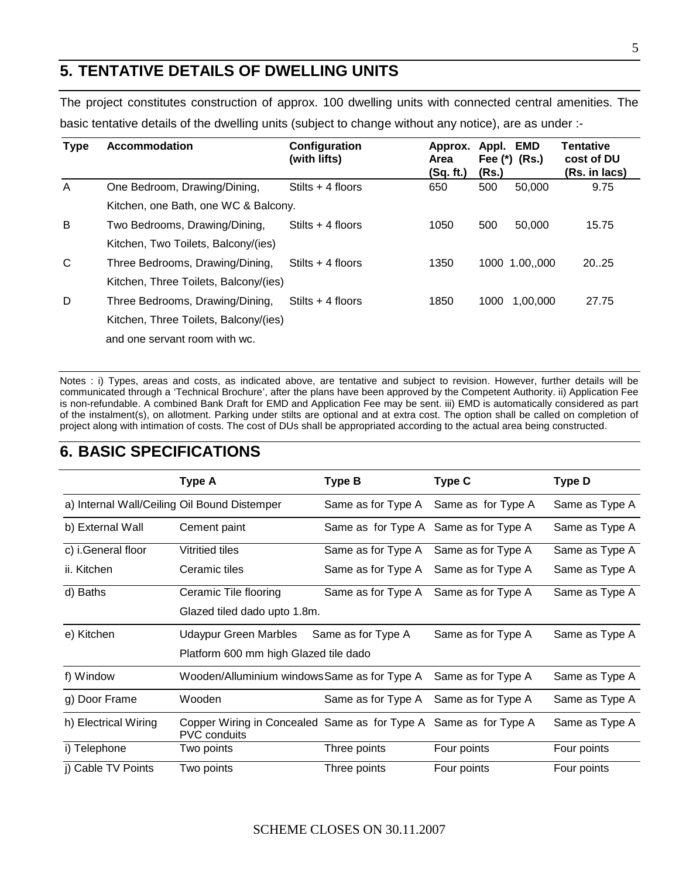## **5. TENTATIVE DETAILS OF DWELLING UNITS**

The project constitutes construction of approx. 100 dwelling units with connected central amenities. The basic tentative details of the dwelling units (subject to change without any notice), are as under :-

| <b>Type</b> | <b>Accommodation</b>                  | Configuration<br>(with lifts) | Approx.<br>Area | Appl. | <b>EMD</b><br>Fee $(*)$ (Rs.) | <b>Tentative</b><br>cost of DU |
|-------------|---------------------------------------|-------------------------------|-----------------|-------|-------------------------------|--------------------------------|
|             |                                       |                               | (Sq. ft.)       | (Rs.) |                               | (Rs. in lacs)                  |
| A           | One Bedroom, Drawing/Dining,          | Stilts $+$ 4 floors           | 650             | 500   | 50,000                        | 9.75                           |
|             | Kitchen, one Bath, one WC & Balcony.  |                               |                 |       |                               |                                |
| B           | Two Bedrooms, Drawing/Dining,         | Stilts $+4$ floors            | 1050            | 500   | 50,000                        | 15.75                          |
|             | Kitchen, Two Toilets, Balcony/(ies)   |                               |                 |       |                               |                                |
| C           | Three Bedrooms, Drawing/Dining,       | Stilts $+$ 4 floors           | 1350            |       | 1000 1.00,,000                | 20.25                          |
|             | Kitchen, Three Toilets, Balcony/(ies) |                               |                 |       |                               |                                |
| D           | Three Bedrooms, Drawing/Dining,       | Stilts $+$ 4 floors           | 1850            | 1000  | 1,00,000                      | 27.75                          |
|             | Kitchen, Three Toilets, Balcony/(ies) |                               |                 |       |                               |                                |
|             | and one servant room with wc.         |                               |                 |       |                               |                                |

Notes : i) Types, areas and costs, as indicated above, are tentative and subject to revision. However, further details will be communicated through a 'Technical Brochure', after the plans have been approved by the Competent Authority. ii) Application Fee is non-refundable. A combined Bank Draft for EMD and Application Fee may be sent. iii) EMD is automatically considered as part of the instalment(s), on allotment. Parking under stilts are optional and at extra cost. The option shall be called on completion of project along with intimation of costs. The cost of DUs shall be appropriated according to the actual area being constructed.

## **6. BASIC SPECIFICATIONS**

|                      | <b>Type A</b>                                                                           | <b>Type B</b>      | Type C                                | <b>Type D</b>  |
|----------------------|-----------------------------------------------------------------------------------------|--------------------|---------------------------------------|----------------|
|                      | a) Internal Wall/Ceiling Oil Bound Distemper                                            | Same as for Type A | Same as for Type A                    | Same as Type A |
| b) External Wall     | Cement paint                                                                            |                    | Same as for Type A Same as for Type A | Same as Type A |
| c) i.General floor   | Vitritied tiles                                                                         | Same as for Type A | Same as for Type A                    | Same as Type A |
| ii. Kitchen          | Ceramic tiles                                                                           | Same as for Type A | Same as for Type A                    | Same as Type A |
| d) Baths             | Ceramic Tile flooring                                                                   | Same as for Type A | Same as for Type A                    | Same as Type A |
|                      | Glazed tiled dado upto 1.8m.                                                            |                    |                                       |                |
| e) Kitchen           | Udaypur Green Marbles                                                                   | Same as for Type A | Same as for Type A                    | Same as Type A |
|                      | Platform 600 mm high Glazed tile dado                                                   |                    |                                       |                |
| f) Window            | Wooden/Alluminium windowsSame as for Type A                                             |                    | Same as for Type A                    | Same as Type A |
| g) Door Frame        | Wooden                                                                                  | Same as for Type A | Same as for Type A                    | Same as Type A |
| h) Electrical Wiring | Copper Wiring in Concealed Same as for Type A Same as for Type A<br><b>PVC</b> conduits |                    |                                       | Same as Type A |
| i) Telephone         | Two points                                                                              | Three points       | Four points                           | Four points    |
| i) Cable TV Points   | Two points                                                                              | Three points       | Four points                           | Four points    |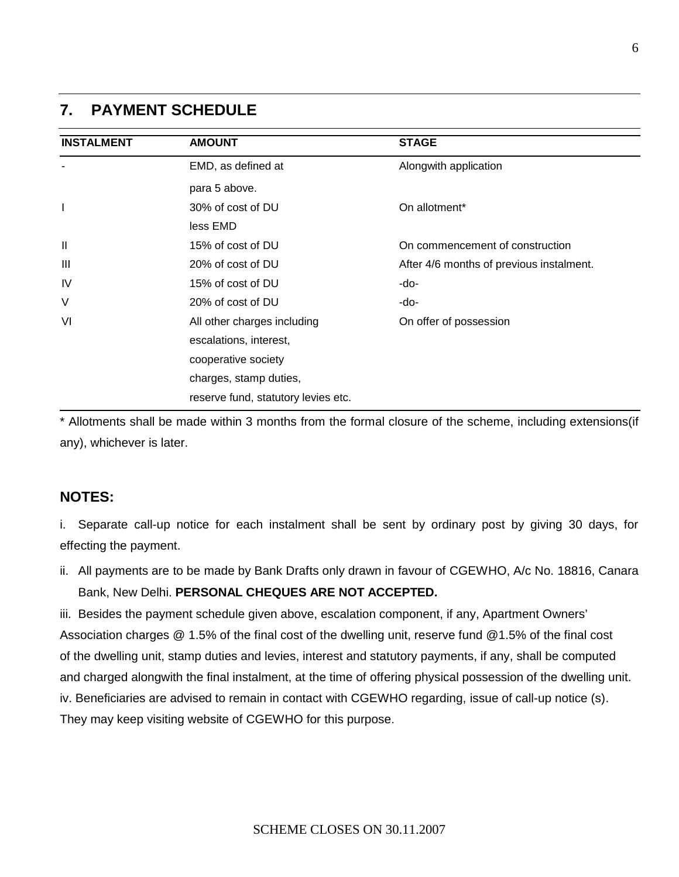#### **7. PAYMENT SCHEDULE**

| <b>INSTALMENT</b> | <b>AMOUNT</b>                       | <b>STAGE</b>                             |
|-------------------|-------------------------------------|------------------------------------------|
|                   | EMD, as defined at                  | Alongwith application                    |
|                   | para 5 above.                       |                                          |
| $\mathbf{I}$      | 30% of cost of DU                   | On allotment*                            |
|                   | less EMD                            |                                          |
| $\mathbf{I}$      | 15% of cost of DU                   | On commencement of construction          |
| Ш                 | 20% of cost of DU                   | After 4/6 months of previous instalment. |
| <b>IV</b>         | 15% of cost of DU                   | -do-                                     |
| V                 | 20% of cost of DU                   | -do-                                     |
| VI                | All other charges including         | On offer of possession                   |
|                   | escalations, interest,              |                                          |
|                   | cooperative society                 |                                          |
|                   | charges, stamp duties,              |                                          |
|                   | reserve fund, statutory levies etc. |                                          |

\* Allotments shall be made within 3 months from the formal closure of the scheme, including extensions(if any), whichever is later.

#### **NOTES:**

- i. Separate call-up notice for each instalment shall be sent by ordinary post by giving 30 days, for effecting the payment.
- ii. All payments are to be made by Bank Drafts only drawn in favour of CGEWHO, A/c No. 18816, Canara Bank, New Delhi. **PERSONAL CHEQUES ARE NOT ACCEPTED.**

iii. Besides the payment schedule given above, escalation component, if any, Apartment Owners' Association charges @ 1.5% of the final cost of the dwelling unit, reserve fund @1.5% of the final cost of the dwelling unit, stamp duties and levies, interest and statutory payments, if any, shall be computed and charged alongwith the final instalment, at the time of offering physical possession of the dwelling unit. iv. Beneficiaries are advised to remain in contact with CGEWHO regarding, issue of call-up notice (s). They may keep visiting website of CGEWHO for this purpose.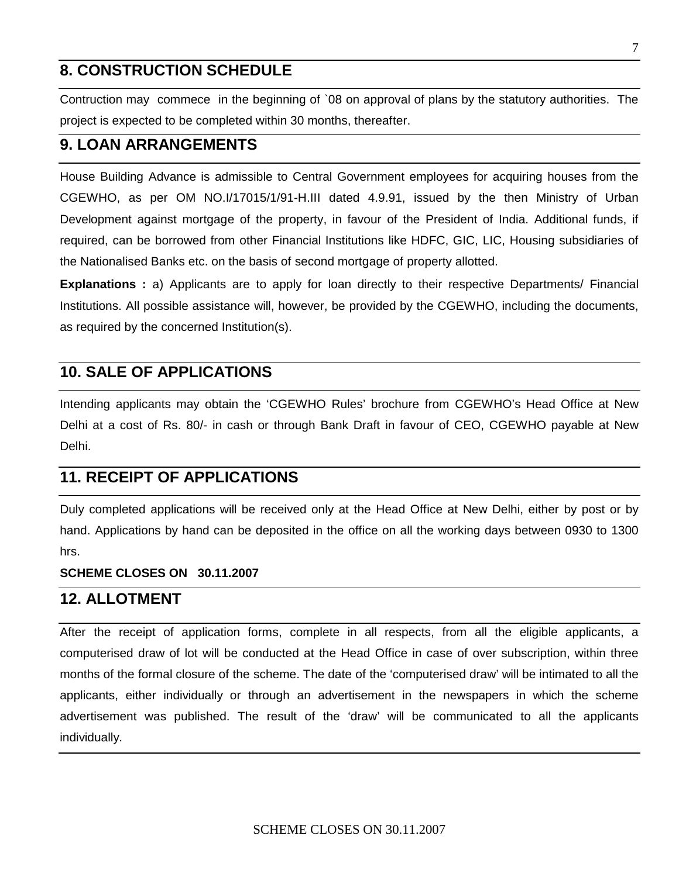## **8. CONSTRUCTION SCHEDULE**

Contruction may commece in the beginning of `08 on approval of plans by the statutory authorities. The project is expected to be completed within 30 months, thereafter.

#### **9. LOAN ARRANGEMENTS**

House Building Advance is admissible to Central Government employees for acquiring houses from the CGEWHO, as per OM NO.I/17015/1/91-H.III dated 4.9.91, issued by the then Ministry of Urban Development against mortgage of the property, in favour of the President of India. Additional funds, if required, can be borrowed from other Financial Institutions like HDFC, GIC, LIC, Housing subsidiaries of the Nationalised Banks etc. on the basis of second mortgage of property allotted.

**Explanations :** a) Applicants are to apply for loan directly to their respective Departments/ Financial Institutions. All possible assistance will, however, be provided by the CGEWHO, including the documents, as required by the concerned Institution(s).

### **10. SALE OF APPLICATIONS**

Intending applicants may obtain the 'CGEWHO Rules' brochure from CGEWHO's Head Office at New Delhi at a cost of Rs. 80/- in cash or through Bank Draft in favour of CEO, CGEWHO payable at New Delhi.

## **11. RECEIPT OF APPLICATIONS**

Duly completed applications will be received only at the Head Office at New Delhi, either by post or by hand. Applications by hand can be deposited in the office on all the working days between 0930 to 1300 hrs.

#### **SCHEME CLOSES ON 30.11.2007**

### **12. ALLOTMENT**

After the receipt of application forms, complete in all respects, from all the eligible applicants, a computerised draw of lot will be conducted at the Head Office in case of over subscription, within three months of the formal closure of the scheme. The date of the 'computerised draw' will be intimated to all the applicants, either individually or through an advertisement in the newspapers in which the scheme advertisement was published. The result of the 'draw' will be communicated to all the applicants individually.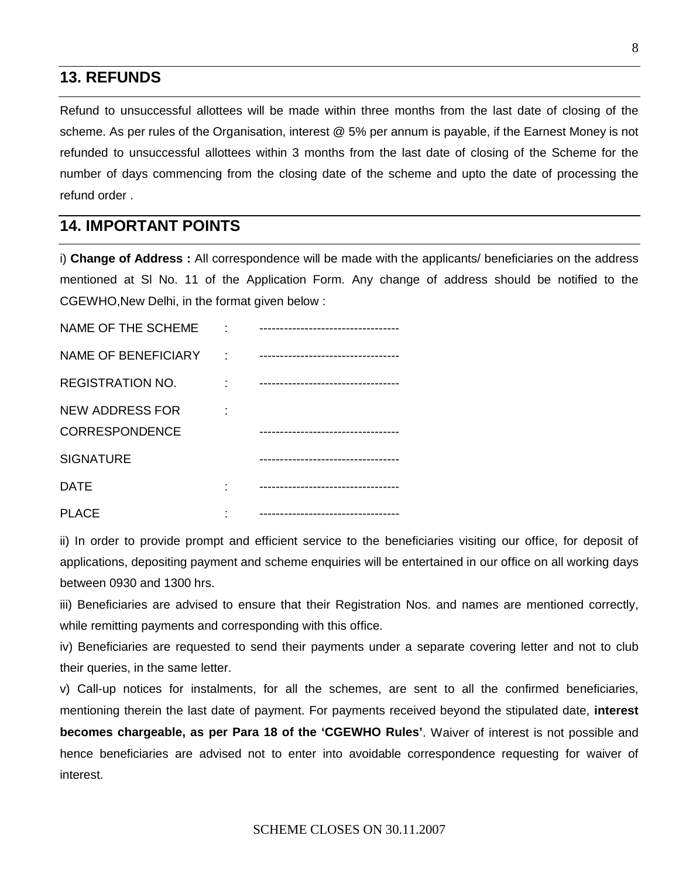### **13. REFUNDS**

Refund to unsuccessful allottees will be made within three months from the last date of closing of the scheme. As per rules of the Organisation, interest @ 5% per annum is payable, if the Earnest Money is not refunded to unsuccessful allottees within 3 months from the last date of closing of the Scheme for the number of days commencing from the closing date of the scheme and upto the date of processing the refund order .

### **14. IMPORTANT POINTS**

i) **Change of Address :** All correspondence will be made with the applicants/ beneficiaries on the address mentioned at Sl No. 11 of the Application Form. Any change of address should be notified to the CGEWHO,New Delhi, in the format given below :

| NAME OF THE SCHEME         | ----------------------------------- |
|----------------------------|-------------------------------------|
| <b>NAME OF BENEFICIARY</b> | ----------------------------------  |
| <b>REGISTRATION NO.</b>    | ----------------------------------  |
| <b>NEW ADDRESS FOR</b>     |                                     |
| <b>CORRESPONDENCE</b>      |                                     |
| <b>SIGNATURE</b>           |                                     |
| <b>DATE</b>                |                                     |
| <b>PLACE</b>               | ----------------------------------- |

ii) In order to provide prompt and efficient service to the beneficiaries visiting our office, for deposit of applications, depositing payment and scheme enquiries will be entertained in our office on all working days between 0930 and 1300 hrs.

iii) Beneficiaries are advised to ensure that their Registration Nos. and names are mentioned correctly, while remitting payments and corresponding with this office.

iv) Beneficiaries are requested to send their payments under a separate covering letter and not to club their queries, in the same letter.

v) Call-up notices for instalments, for all the schemes, are sent to all the confirmed beneficiaries, mentioning therein the last date of payment. For payments received beyond the stipulated date, **interest becomes chargeable, as per Para 18 of the 'CGEWHO Rules'**. Waiver of interest is not possible and hence beneficiaries are advised not to enter into avoidable correspondence requesting for waiver of interest.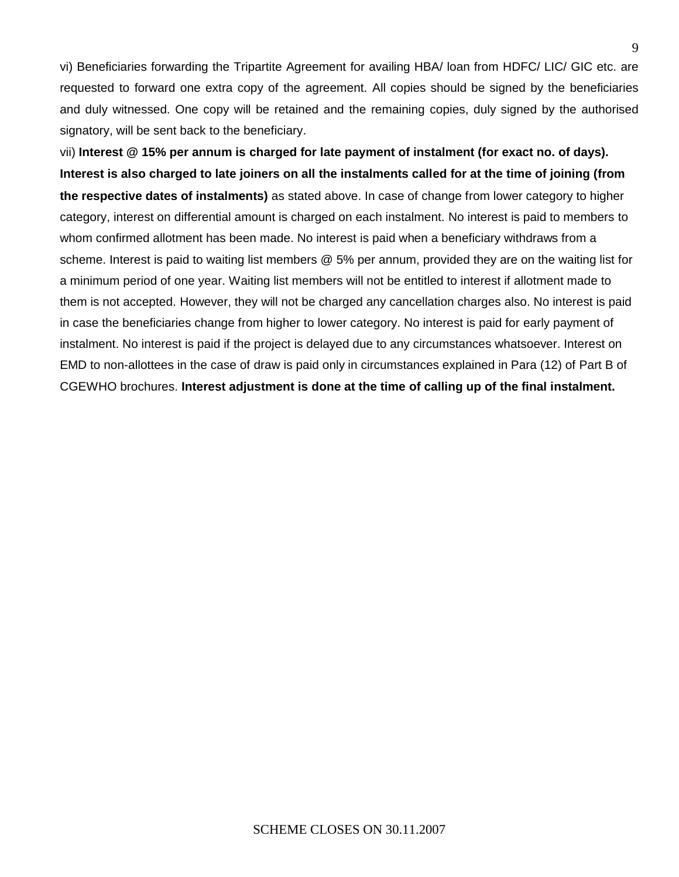vi) Beneficiaries forwarding the Tripartite Agreement for availing HBA/ loan from HDFC/ LIC/ GIC etc. are requested to forward one extra copy of the agreement. All copies should be signed by the beneficiaries and duly witnessed. One copy will be retained and the remaining copies, duly signed by the authorised signatory, will be sent back to the beneficiary.

vii) **Interest @ 15% per annum is charged for late payment of instalment (for exact no. of days). Interest is also charged to late joiners on all the instalments called for at the time of joining (from the respective dates of instalments)** as stated above. In case of change from lower category to higher category, interest on differential amount is charged on each instalment. No interest is paid to members to whom confirmed allotment has been made. No interest is paid when a beneficiary withdraws from a scheme. Interest is paid to waiting list members @ 5% per annum, provided they are on the waiting list for a minimum period of one year. Waiting list members will not be entitled to interest if allotment made to them is not accepted. However, they will not be charged any cancellation charges also. No interest is paid in case the beneficiaries change from higher to lower category. No interest is paid for early payment of instalment. No interest is paid if the project is delayed due to any circumstances whatsoever. Interest on EMD to non-allottees in the case of draw is paid only in circumstances explained in Para (12) of Part B of CGEWHO brochures. **Interest adjustment is done at the time of calling up of the final instalment.**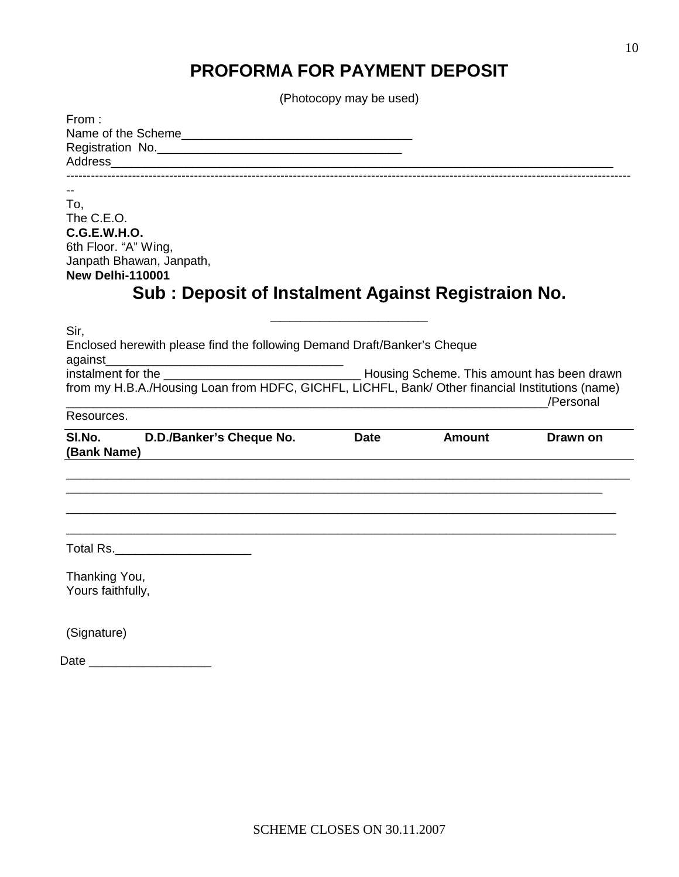# **PROFORMA FOR PAYMENT DEPOSIT**

(Photocopy may be used)

| From:                                                                                                                                                                         |             |                                                 |           |
|-------------------------------------------------------------------------------------------------------------------------------------------------------------------------------|-------------|-------------------------------------------------|-----------|
| To.<br>The C.E.O.<br><b>C.G.E.W.H.O.</b><br>6th Floor. "A" Wing,<br>Janpath Bhawan, Janpath,<br><b>New Delhi-110001</b><br>Sub: Deposit of Instalment Against Registraion No. |             |                                                 |           |
| Sir,<br>Enclosed herewith please find the following Demand Draft/Banker's Cheque<br>against                                                                                   |             |                                                 |           |
| from my H.B.A./Housing Loan from HDFC, GICHFL, LICHFL, Bank/ Other financial Institutions (name)                                                                              |             | <u> 1980 - Johann John Stone, mars et al. (</u> | /Personal |
| Resources.                                                                                                                                                                    |             |                                                 |           |
| SI.No.<br>D.D./Banker's Cheque No.<br>(Bank Name)                                                                                                                             | <b>Date</b> | <b>Amount</b>                                   | Drawn on  |
|                                                                                                                                                                               |             |                                                 |           |
| Total Rs.________________________                                                                                                                                             |             |                                                 |           |
| Thanking You,<br>Yours faithfully,                                                                                                                                            |             |                                                 |           |
| (Signature)                                                                                                                                                                   |             |                                                 |           |
| Date                                                                                                                                                                          |             |                                                 |           |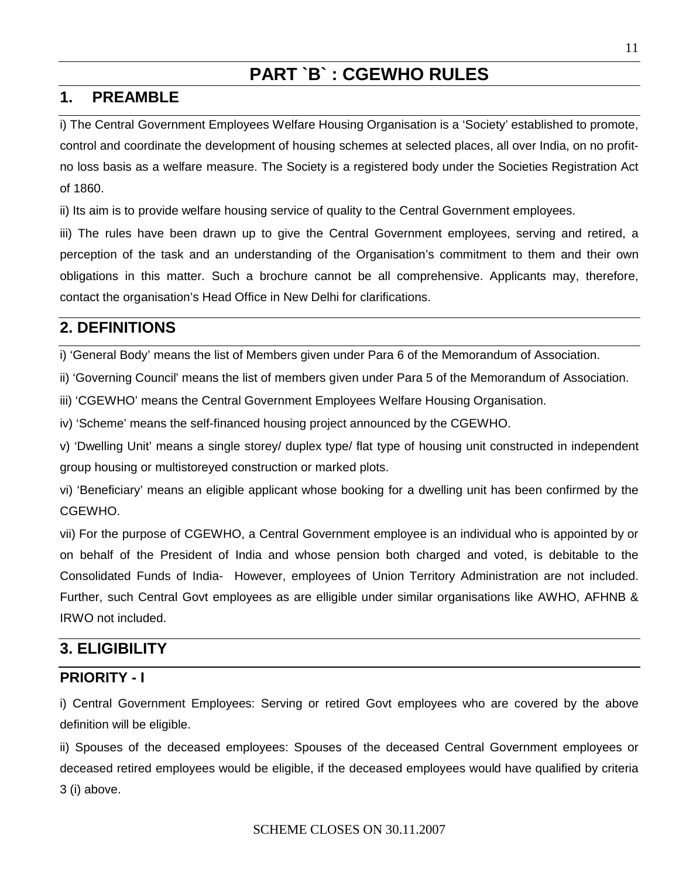# **PART `B` : CGEWHO RULES**

## **1. PREAMBLE**

i) The Central Government Employees Welfare Housing Organisation is a 'Society' established to promote, control and coordinate the development of housing schemes at selected places, all over India, on no profitno loss basis as a welfare measure. The Society is a registered body under the Societies Registration Act of 1860.

ii) Its aim is to provide welfare housing service of quality to the Central Government employees.

iii) The rules have been drawn up to give the Central Government employees, serving and retired, a perception of the task and an understanding of the Organisation's commitment to them and their own obligations in this matter. Such a brochure cannot be all comprehensive. Applicants may, therefore, contact the organisation's Head Office in New Delhi for clarifications.

## **2. DEFINITIONS**

i) 'General Body' means the list of Members given under Para 6 of the Memorandum of Association.

ii) 'Governing Council' means the list of members given under Para 5 of the Memorandum of Association.

iii) 'CGEWHO' means the Central Government Employees Welfare Housing Organisation.

iv) 'Scheme' means the self-financed housing project announced by the CGEWHO.

v) 'Dwelling Unit' means a single storey/ duplex type/ flat type of housing unit constructed in independent group housing or multistoreyed construction or marked plots.

vi) 'Beneficiary' means an eligible applicant whose booking for a dwelling unit has been confirmed by the CGEWHO.

vii) For the purpose of CGEWHO, a Central Government employee is an individual who is appointed by or on behalf of the President of India and whose pension both charged and voted, is debitable to the Consolidated Funds of India- However, employees of Union Territory Administration are not included. Further, such Central Govt employees as are elligible under similar organisations like AWHO, AFHNB & IRWO not included.

## **3. ELIGIBILITY**

## **PRIORITY - I**

i) Central Government Employees: Serving or retired Govt employees who are covered by the above definition will be eligible.

ii) Spouses of the deceased employees: Spouses of the deceased Central Government employees or deceased retired employees would be eligible, if the deceased employees would have qualified by criteria 3 (i) above.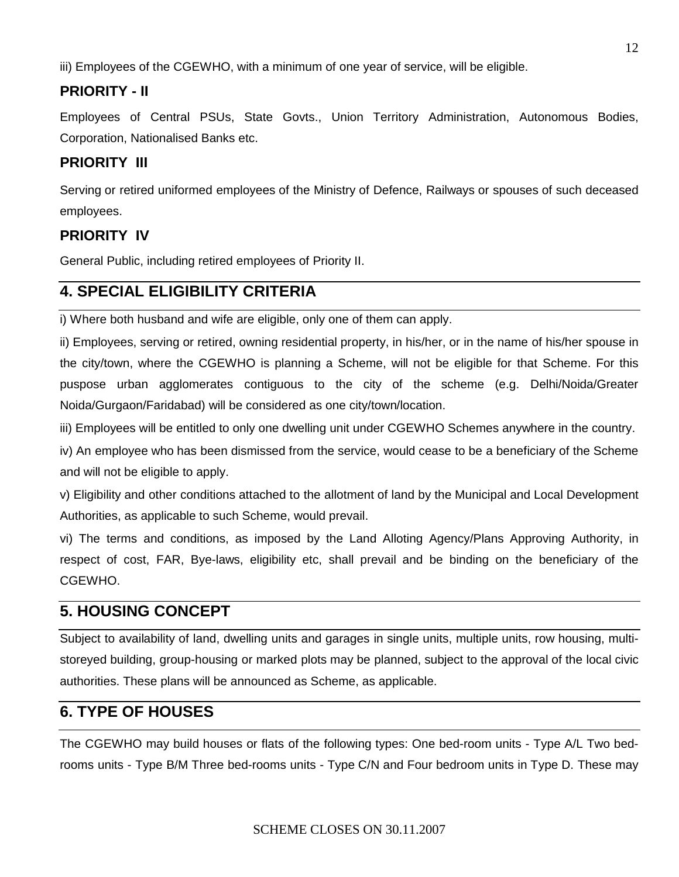iii) Employees of the CGEWHO, with a minimum of one year of service, will be eligible.

## **PRIORITY - II**

Employees of Central PSUs, State Govts., Union Territory Administration, Autonomous Bodies, Corporation, Nationalised Banks etc.

### **PRIORITY III**

Serving or retired uniformed employees of the Ministry of Defence, Railways or spouses of such deceased employees.

### **PRIORITY IV**

General Public, including retired employees of Priority II.

## **4. SPECIAL ELIGIBILITY CRITERIA**

i) Where both husband and wife are eligible, only one of them can apply.

ii) Employees, serving or retired, owning residential property, in his/her, or in the name of his/her spouse in the city/town, where the CGEWHO is planning a Scheme, will not be eligible for that Scheme. For this puspose urban agglomerates contiguous to the city of the scheme (e.g. Delhi/Noida/Greater Noida/Gurgaon/Faridabad) will be considered as one city/town/location.

iii) Employees will be entitled to only one dwelling unit under CGEWHO Schemes anywhere in the country.

iv) An employee who has been dismissed from the service, would cease to be a beneficiary of the Scheme and will not be eligible to apply.

v) Eligibility and other conditions attached to the allotment of land by the Municipal and Local Development Authorities, as applicable to such Scheme, would prevail.

vi) The terms and conditions, as imposed by the Land Alloting Agency/Plans Approving Authority, in respect of cost, FAR, Bye-laws, eligibility etc, shall prevail and be binding on the beneficiary of the CGEWHO.

## **5. HOUSING CONCEPT**

Subject to availability of land, dwelling units and garages in single units, multiple units, row housing, multistoreyed building, group-housing or marked plots may be planned, subject to the approval of the local civic authorities. These plans will be announced as Scheme, as applicable.

## **6. TYPE OF HOUSES**

The CGEWHO may build houses or flats of the following types: One bed-room units - Type A/L Two bedrooms units - Type B/M Three bed-rooms units - Type C/N and Four bedroom units in Type D. These may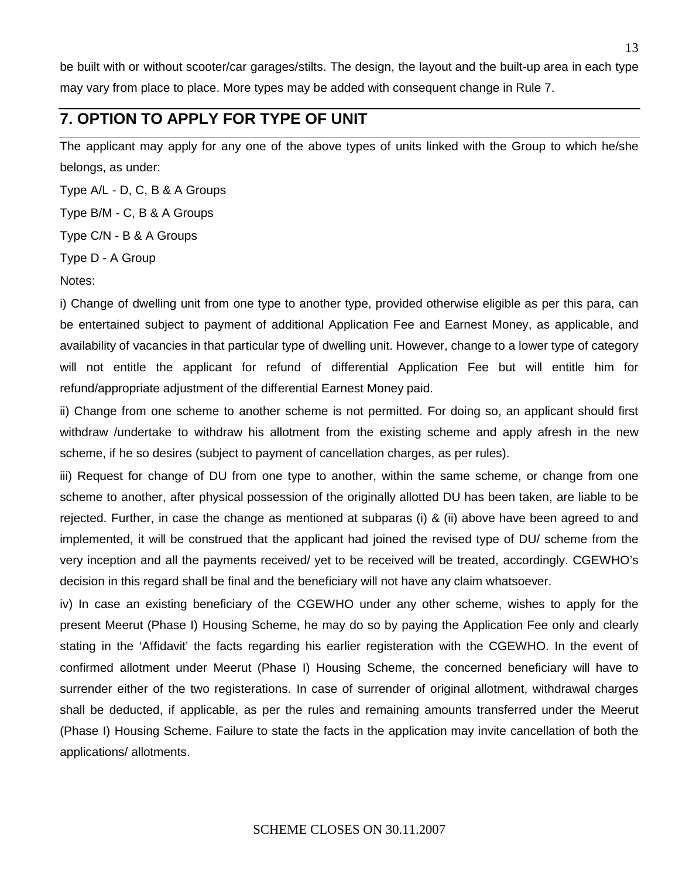be built with or without scooter/car garages/stilts. The design, the layout and the built-up area in each type may vary from place to place. More types may be added with consequent change in Rule 7.

## **7. OPTION TO APPLY FOR TYPE OF UNIT**

The applicant may apply for any one of the above types of units linked with the Group to which he/she belongs, as under:

Type A/L - D, C, B & A Groups

Type B/M - C, B & A Groups

Type C/N - B & A Groups

Type D - A Group

Notes:

i) Change of dwelling unit from one type to another type, provided otherwise eligible as per this para, can be entertained subject to payment of additional Application Fee and Earnest Money, as applicable, and availability of vacancies in that particular type of dwelling unit. However, change to a lower type of category will not entitle the applicant for refund of differential Application Fee but will entitle him for refund/appropriate adjustment of the differential Earnest Money paid.

ii) Change from one scheme to another scheme is not permitted. For doing so, an applicant should first withdraw /undertake to withdraw his allotment from the existing scheme and apply afresh in the new scheme, if he so desires (subject to payment of cancellation charges, as per rules).

iii) Request for change of DU from one type to another, within the same scheme, or change from one scheme to another, after physical possession of the originally allotted DU has been taken, are liable to be rejected. Further, in case the change as mentioned at subparas (i) & (ii) above have been agreed to and implemented, it will be construed that the applicant had joined the revised type of DU/ scheme from the very inception and all the payments received/ yet to be received will be treated, accordingly. CGEWHO's decision in this regard shall be final and the beneficiary will not have any claim whatsoever.

iv) In case an existing beneficiary of the CGEWHO under any other scheme, wishes to apply for the present Meerut (Phase I) Housing Scheme, he may do so by paying the Application Fee only and clearly stating in the 'Affidavit' the facts regarding his earlier registeration with the CGEWHO. In the event of confirmed allotment under Meerut (Phase I) Housing Scheme, the concerned beneficiary will have to surrender either of the two registerations. In case of surrender of original allotment, withdrawal charges shall be deducted, if applicable, as per the rules and remaining amounts transferred under the Meerut (Phase I) Housing Scheme. Failure to state the facts in the application may invite cancellation of both the applications/ allotments.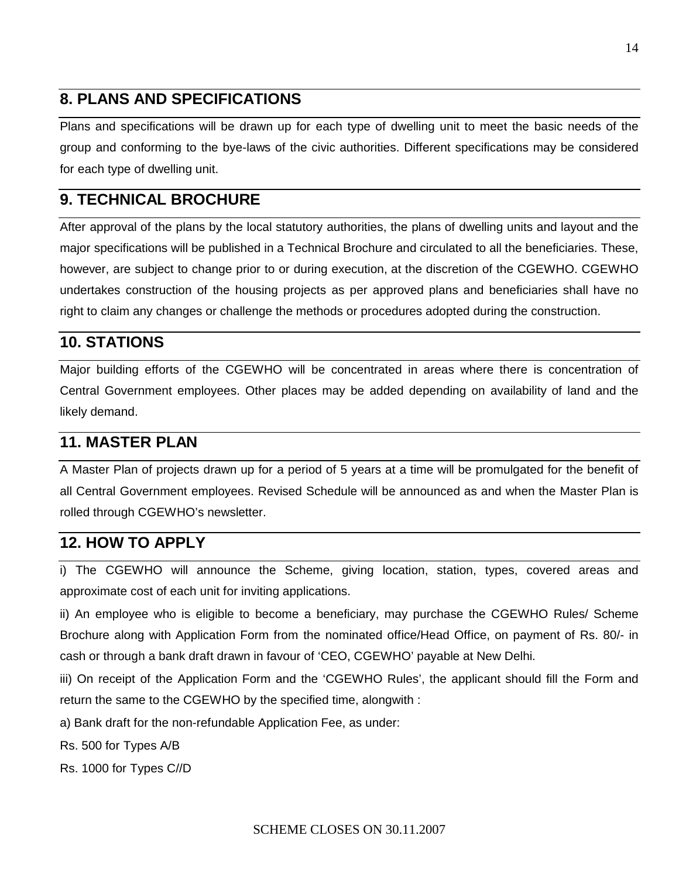## **8. PLANS AND SPECIFICATIONS**

Plans and specifications will be drawn up for each type of dwelling unit to meet the basic needs of the group and conforming to the bye-laws of the civic authorities. Different specifications may be considered for each type of dwelling unit.

## **9. TECHNICAL BROCHURE**

After approval of the plans by the local statutory authorities, the plans of dwelling units and layout and the major specifications will be published in a Technical Brochure and circulated to all the beneficiaries. These, however, are subject to change prior to or during execution, at the discretion of the CGEWHO. CGEWHO undertakes construction of the housing projects as per approved plans and beneficiaries shall have no right to claim any changes or challenge the methods or procedures adopted during the construction.

## **10. STATIONS**

Major building efforts of the CGEWHO will be concentrated in areas where there is concentration of Central Government employees. Other places may be added depending on availability of land and the likely demand.

## **11. MASTER PLAN**

A Master Plan of projects drawn up for a period of 5 years at a time will be promulgated for the benefit of all Central Government employees. Revised Schedule will be announced as and when the Master Plan is rolled through CGEWHO's newsletter.

## **12. HOW TO APPLY**

i) The CGEWHO will announce the Scheme, giving location, station, types, covered areas and approximate cost of each unit for inviting applications.

ii) An employee who is eligible to become a beneficiary, may purchase the CGEWHO Rules/ Scheme Brochure along with Application Form from the nominated office/Head Office, on payment of Rs. 80/- in cash or through a bank draft drawn in favour of 'CEO, CGEWHO' payable at New Delhi.

iii) On receipt of the Application Form and the 'CGEWHO Rules', the applicant should fill the Form and return the same to the CGEWHO by the specified time, alongwith :

a) Bank draft for the non-refundable Application Fee, as under:

Rs. 500 for Types A/B

Rs. 1000 for Types C//D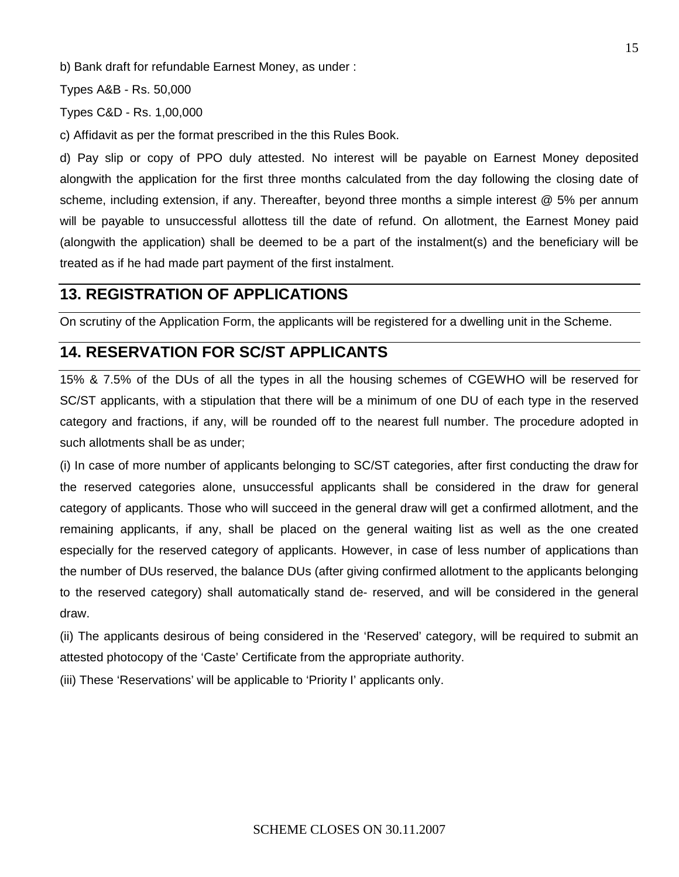b) Bank draft for refundable Earnest Money, as under :

Types A&B - Rs. 50,000

Types C&D - Rs. 1,00,000

c) Affidavit as per the format prescribed in the this Rules Book.

d) Pay slip or copy of PPO duly attested. No interest will be payable on Earnest Money deposited alongwith the application for the first three months calculated from the day following the closing date of scheme, including extension, if any. Thereafter, beyond three months a simple interest @ 5% per annum will be payable to unsuccessful allottess till the date of refund. On allotment, the Earnest Money paid (alongwith the application) shall be deemed to be a part of the instalment(s) and the beneficiary will be treated as if he had made part payment of the first instalment.

#### **13. REGISTRATION OF APPLICATIONS**

On scrutiny of the Application Form, the applicants will be registered for a dwelling unit in the Scheme.

### **14. RESERVATION FOR SC/ST APPLICANTS**

15% & 7.5% of the DUs of all the types in all the housing schemes of CGEWHO will be reserved for SC/ST applicants, with a stipulation that there will be a minimum of one DU of each type in the reserved category and fractions, if any, will be rounded off to the nearest full number. The procedure adopted in such allotments shall be as under;

(i) In case of more number of applicants belonging to SC/ST categories, after first conducting the draw for the reserved categories alone, unsuccessful applicants shall be considered in the draw for general category of applicants. Those who will succeed in the general draw will get a confirmed allotment, and the remaining applicants, if any, shall be placed on the general waiting list as well as the one created especially for the reserved category of applicants. However, in case of less number of applications than the number of DUs reserved, the balance DUs (after giving confirmed allotment to the applicants belonging to the reserved category) shall automatically stand de- reserved, and will be considered in the general draw.

(ii) The applicants desirous of being considered in the 'Reserved' category, will be required to submit an attested photocopy of the 'Caste' Certificate from the appropriate authority.

(iii) These 'Reservations' will be applicable to 'Priority I' applicants only.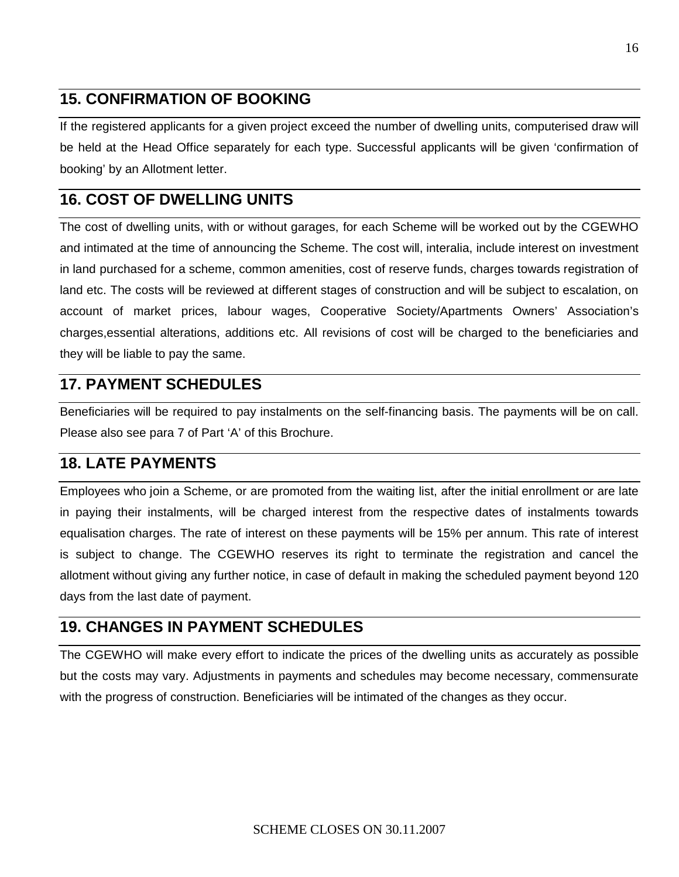## **15. CONFIRMATION OF BOOKING**

If the registered applicants for a given project exceed the number of dwelling units, computerised draw will be held at the Head Office separately for each type. Successful applicants will be given 'confirmation of booking' by an Allotment letter.

## **16. COST OF DWELLING UNITS**

The cost of dwelling units, with or without garages, for each Scheme will be worked out by the CGEWHO and intimated at the time of announcing the Scheme. The cost will, interalia, include interest on investment in land purchased for a scheme, common amenities, cost of reserve funds, charges towards registration of land etc. The costs will be reviewed at different stages of construction and will be subject to escalation, on account of market prices, labour wages, Cooperative Society/Apartments Owners' Association's charges,essential alterations, additions etc. All revisions of cost will be charged to the beneficiaries and they will be liable to pay the same.

## **17. PAYMENT SCHEDULES**

Beneficiaries will be required to pay instalments on the self-financing basis. The payments will be on call. Please also see para 7 of Part 'A' of this Brochure.

## **18. LATE PAYMENTS**

Employees who join a Scheme, or are promoted from the waiting list, after the initial enrollment or are late in paying their instalments, will be charged interest from the respective dates of instalments towards equalisation charges. The rate of interest on these payments will be 15% per annum. This rate of interest is subject to change. The CGEWHO reserves its right to terminate the registration and cancel the allotment without giving any further notice, in case of default in making the scheduled payment beyond 120 days from the last date of payment.

## **19. CHANGES IN PAYMENT SCHEDULES**

The CGEWHO will make every effort to indicate the prices of the dwelling units as accurately as possible but the costs may vary. Adjustments in payments and schedules may become necessary, commensurate with the progress of construction. Beneficiaries will be intimated of the changes as they occur.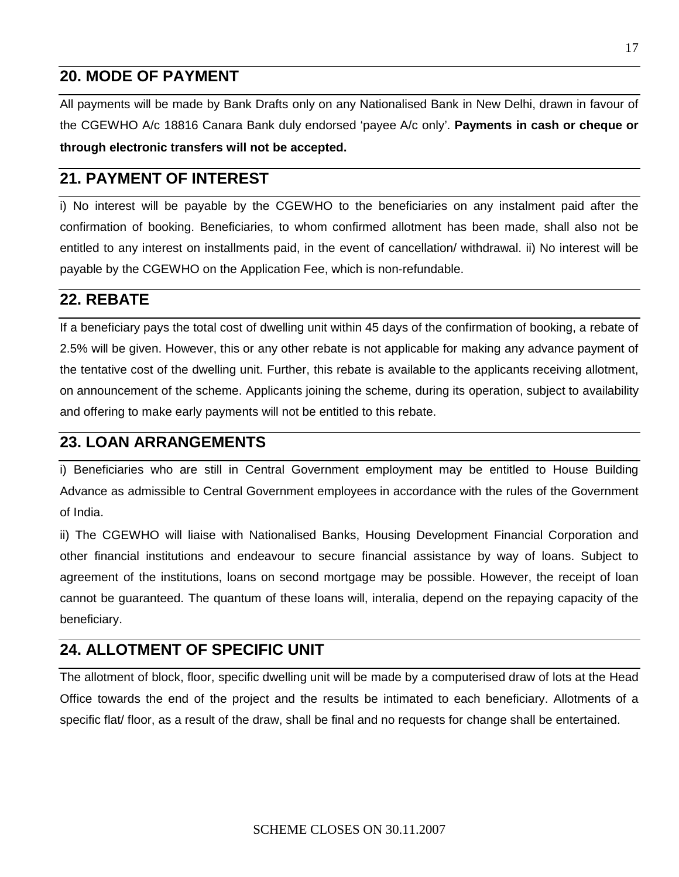## **20. MODE OF PAYMENT**

All payments will be made by Bank Drafts only on any Nationalised Bank in New Delhi, drawn in favour of the CGEWHO A/c 18816 Canara Bank duly endorsed 'payee A/c only'. **Payments in cash or cheque or through electronic transfers will not be accepted.** 

## **21. PAYMENT OF INTEREST**

i) No interest will be payable by the CGEWHO to the beneficiaries on any instalment paid after the confirmation of booking. Beneficiaries, to whom confirmed allotment has been made, shall also not be entitled to any interest on installments paid, in the event of cancellation/ withdrawal. ii) No interest will be payable by the CGEWHO on the Application Fee, which is non-refundable.

## **22. REBATE**

If a beneficiary pays the total cost of dwelling unit within 45 days of the confirmation of booking, a rebate of 2.5% will be given. However, this or any other rebate is not applicable for making any advance payment of the tentative cost of the dwelling unit. Further, this rebate is available to the applicants receiving allotment, on announcement of the scheme. Applicants joining the scheme, during its operation, subject to availability and offering to make early payments will not be entitled to this rebate.

## **23. LOAN ARRANGEMENTS**

i) Beneficiaries who are still in Central Government employment may be entitled to House Building Advance as admissible to Central Government employees in accordance with the rules of the Government of India.

ii) The CGEWHO will liaise with Nationalised Banks, Housing Development Financial Corporation and other financial institutions and endeavour to secure financial assistance by way of loans. Subject to agreement of the institutions, loans on second mortgage may be possible. However, the receipt of loan cannot be guaranteed. The quantum of these loans will, interalia, depend on the repaying capacity of the beneficiary.

## **24. ALLOTMENT OF SPECIFIC UNIT**

The allotment of block, floor, specific dwelling unit will be made by a computerised draw of lots at the Head Office towards the end of the project and the results be intimated to each beneficiary. Allotments of a specific flat/ floor, as a result of the draw, shall be final and no requests for change shall be entertained.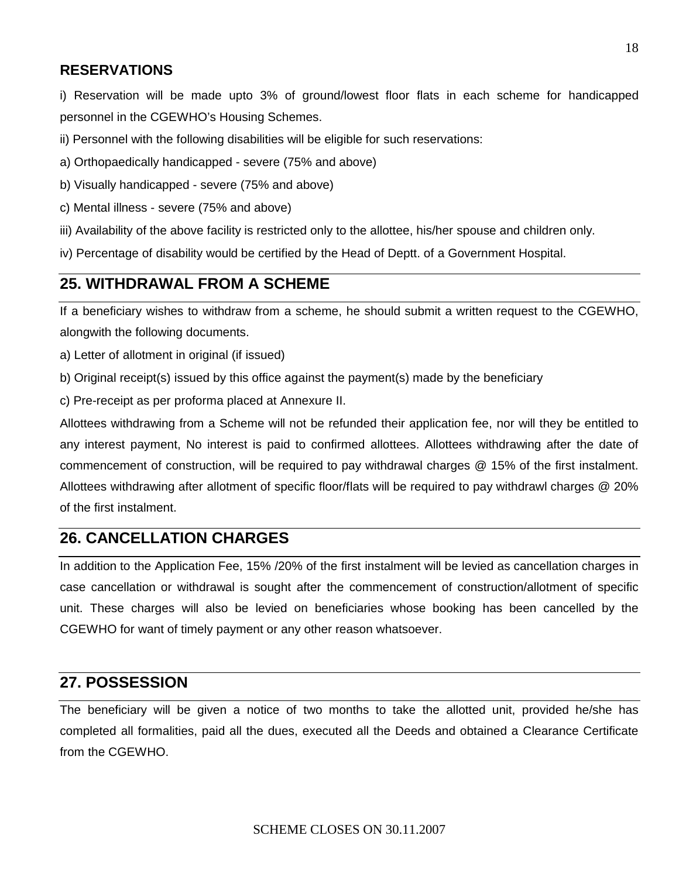### **RESERVATIONS**

i) Reservation will be made upto 3% of ground/lowest floor flats in each scheme for handicapped personnel in the CGEWHO's Housing Schemes.

ii) Personnel with the following disabilities will be eligible for such reservations:

a) Orthopaedically handicapped - severe (75% and above)

b) Visually handicapped - severe (75% and above)

- c) Mental illness severe (75% and above)
- iii) Availability of the above facility is restricted only to the allottee, his/her spouse and children only.

iv) Percentage of disability would be certified by the Head of Deptt. of a Government Hospital.

## **25. WITHDRAWAL FROM A SCHEME**

If a beneficiary wishes to withdraw from a scheme, he should submit a written request to the CGEWHO, alongwith the following documents.

a) Letter of allotment in original (if issued)

b) Original receipt(s) issued by this office against the payment(s) made by the beneficiary

c) Pre-receipt as per proforma placed at Annexure II.

Allottees withdrawing from a Scheme will not be refunded their application fee, nor will they be entitled to any interest payment, No interest is paid to confirmed allottees. Allottees withdrawing after the date of commencement of construction, will be required to pay withdrawal charges @ 15% of the first instalment. Allottees withdrawing after allotment of specific floor/flats will be required to pay withdrawl charges @ 20% of the first instalment.

## **26. CANCELLATION CHARGES**

In addition to the Application Fee, 15% /20% of the first instalment will be levied as cancellation charges in case cancellation or withdrawal is sought after the commencement of construction/allotment of specific unit. These charges will also be levied on beneficiaries whose booking has been cancelled by the CGEWHO for want of timely payment or any other reason whatsoever.

## **27. POSSESSION**

The beneficiary will be given a notice of two months to take the allotted unit, provided he/she has completed all formalities, paid all the dues, executed all the Deeds and obtained a Clearance Certificate from the CGEWHO.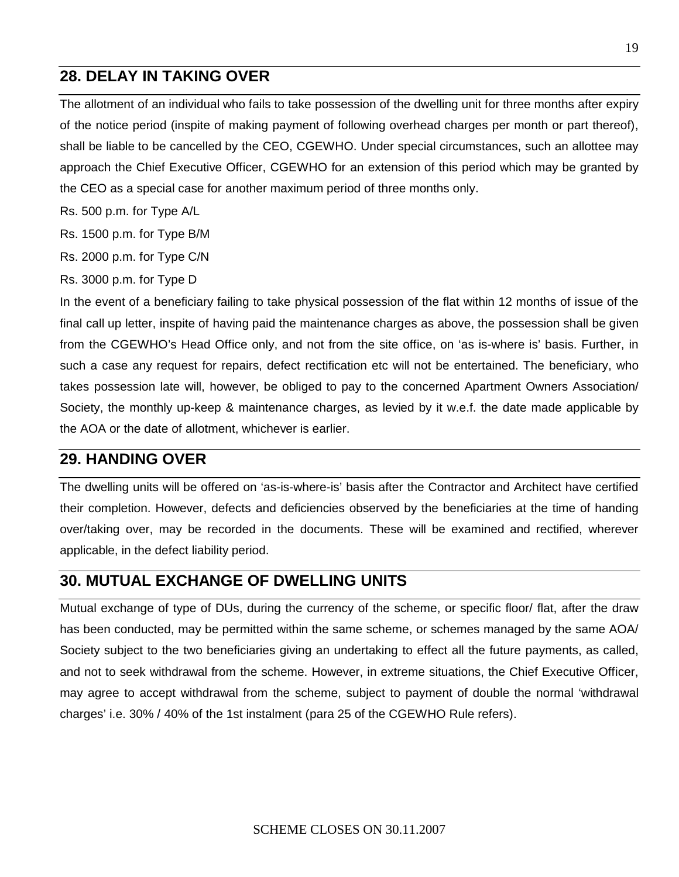## **28. DELAY IN TAKING OVER**

The allotment of an individual who fails to take possession of the dwelling unit for three months after expiry of the notice period (inspite of making payment of following overhead charges per month or part thereof), shall be liable to be cancelled by the CEO, CGEWHO. Under special circumstances, such an allottee may approach the Chief Executive Officer, CGEWHO for an extension of this period which may be granted by the CEO as a special case for another maximum period of three months only.

Rs. 500 p.m. for Type A/L

Rs. 1500 p.m. for Type B/M

Rs. 2000 p.m. for Type C/N

Rs. 3000 p.m. for Type D

In the event of a beneficiary failing to take physical possession of the flat within 12 months of issue of the final call up letter, inspite of having paid the maintenance charges as above, the possession shall be given from the CGEWHO's Head Office only, and not from the site office, on 'as is-where is' basis. Further, in such a case any request for repairs, defect rectification etc will not be entertained. The beneficiary, who takes possession late will, however, be obliged to pay to the concerned Apartment Owners Association/ Society, the monthly up-keep & maintenance charges, as levied by it w.e.f. the date made applicable by the AOA or the date of allotment, whichever is earlier.

### **29. HANDING OVER**

The dwelling units will be offered on 'as-is-where-is' basis after the Contractor and Architect have certified their completion. However, defects and deficiencies observed by the beneficiaries at the time of handing over/taking over, may be recorded in the documents. These will be examined and rectified, wherever applicable, in the defect liability period.

#### **30. MUTUAL EXCHANGE OF DWELLING UNITS**

Mutual exchange of type of DUs, during the currency of the scheme, or specific floor/ flat, after the draw has been conducted, may be permitted within the same scheme, or schemes managed by the same AOA/ Society subject to the two beneficiaries giving an undertaking to effect all the future payments, as called, and not to seek withdrawal from the scheme. However, in extreme situations, the Chief Executive Officer, may agree to accept withdrawal from the scheme, subject to payment of double the normal 'withdrawal charges' i.e. 30% / 40% of the 1st instalment (para 25 of the CGEWHO Rule refers).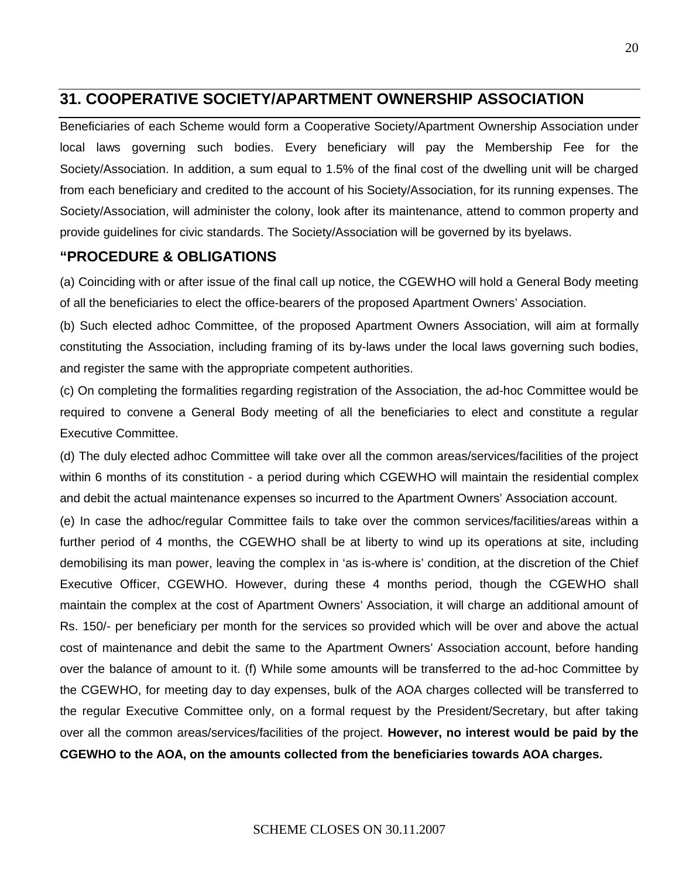## **31. COOPERATIVE SOCIETY/APARTMENT OWNERSHIP ASSOCIATION**

Beneficiaries of each Scheme would form a Cooperative Society/Apartment Ownership Association under local laws governing such bodies. Every beneficiary will pay the Membership Fee for the Society/Association. In addition, a sum equal to 1.5% of the final cost of the dwelling unit will be charged from each beneficiary and credited to the account of his Society/Association, for its running expenses. The Society/Association, will administer the colony, look after its maintenance, attend to common property and provide guidelines for civic standards. The Society/Association will be governed by its byelaws.

#### **"PROCEDURE & OBLIGATIONS**

(a) Coinciding with or after issue of the final call up notice, the CGEWHO will hold a General Body meeting of all the beneficiaries to elect the office-bearers of the proposed Apartment Owners' Association.

(b) Such elected adhoc Committee, of the proposed Apartment Owners Association, will aim at formally constituting the Association, including framing of its by-laws under the local laws governing such bodies, and register the same with the appropriate competent authorities.

(c) On completing the formalities regarding registration of the Association, the ad-hoc Committee would be required to convene a General Body meeting of all the beneficiaries to elect and constitute a regular Executive Committee.

(d) The duly elected adhoc Committee will take over all the common areas/services/facilities of the project within 6 months of its constitution - a period during which CGEWHO will maintain the residential complex and debit the actual maintenance expenses so incurred to the Apartment Owners' Association account.

(e) In case the adhoc/regular Committee fails to take over the common services/facilities/areas within a further period of 4 months, the CGEWHO shall be at liberty to wind up its operations at site, including demobilising its man power, leaving the complex in 'as is-where is' condition, at the discretion of the Chief Executive Officer, CGEWHO. However, during these 4 months period, though the CGEWHO shall maintain the complex at the cost of Apartment Owners' Association, it will charge an additional amount of Rs. 150/- per beneficiary per month for the services so provided which will be over and above the actual cost of maintenance and debit the same to the Apartment Owners' Association account, before handing over the balance of amount to it. (f) While some amounts will be transferred to the ad-hoc Committee by the CGEWHO, for meeting day to day expenses, bulk of the AOA charges collected will be transferred to the regular Executive Committee only, on a formal request by the President/Secretary, but after taking over all the common areas/services/facilities of the project. **However, no interest would be paid by the CGEWHO to the AOA, on the amounts collected from the beneficiaries towards AOA charges.**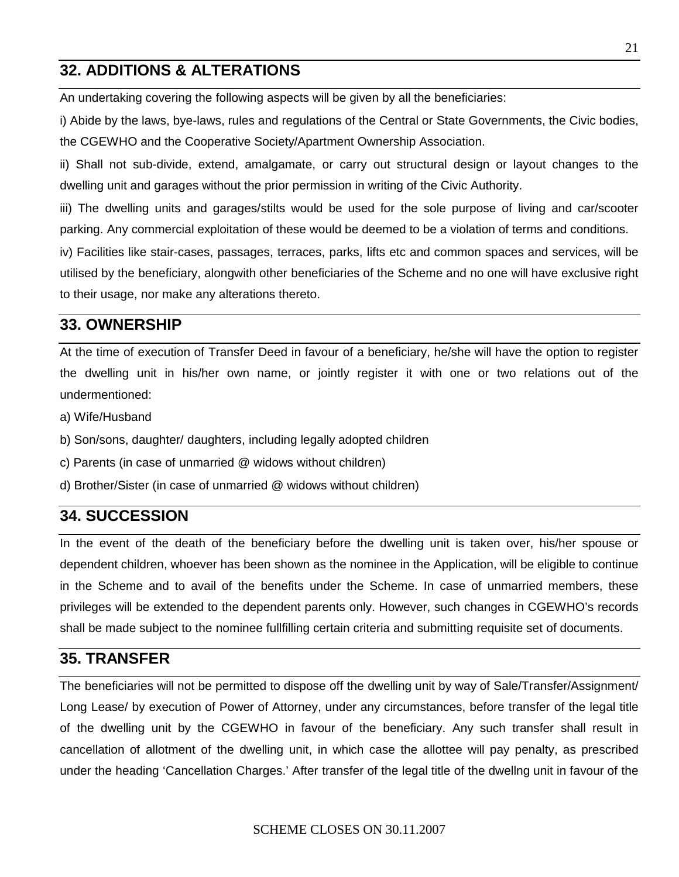## **32. ADDITIONS & ALTERATIONS**

An undertaking covering the following aspects will be given by all the beneficiaries:

i) Abide by the laws, bye-laws, rules and regulations of the Central or State Governments, the Civic bodies, the CGEWHO and the Cooperative Society/Apartment Ownership Association.

ii) Shall not sub-divide, extend, amalgamate, or carry out structural design or layout changes to the dwelling unit and garages without the prior permission in writing of the Civic Authority.

iii) The dwelling units and garages/stilts would be used for the sole purpose of living and car/scooter parking. Any commercial exploitation of these would be deemed to be a violation of terms and conditions.

iv) Facilities like stair-cases, passages, terraces, parks, lifts etc and common spaces and services, will be utilised by the beneficiary, alongwith other beneficiaries of the Scheme and no one will have exclusive right to their usage, nor make any alterations thereto.

## **33. OWNERSHIP**

At the time of execution of Transfer Deed in favour of a beneficiary, he/she will have the option to register the dwelling unit in his/her own name, or jointly register it with one or two relations out of the undermentioned:

- a) Wife/Husband
- b) Son/sons, daughter/ daughters, including legally adopted children
- c) Parents (in case of unmarried @ widows without children)
- d) Brother/Sister (in case of unmarried @ widows without children)

## **34. SUCCESSION**

In the event of the death of the beneficiary before the dwelling unit is taken over, his/her spouse or dependent children, whoever has been shown as the nominee in the Application, will be eligible to continue in the Scheme and to avail of the benefits under the Scheme. In case of unmarried members, these privileges will be extended to the dependent parents only. However, such changes in CGEWHO's records shall be made subject to the nominee fullfilling certain criteria and submitting requisite set of documents.

#### **35. TRANSFER**

The beneficiaries will not be permitted to dispose off the dwelling unit by way of Sale/Transfer/Assignment/ Long Lease/ by execution of Power of Attorney, under any circumstances, before transfer of the legal title of the dwelling unit by the CGEWHO in favour of the beneficiary. Any such transfer shall result in cancellation of allotment of the dwelling unit, in which case the allottee will pay penalty, as prescribed under the heading 'Cancellation Charges.' After transfer of the legal title of the dwellng unit in favour of the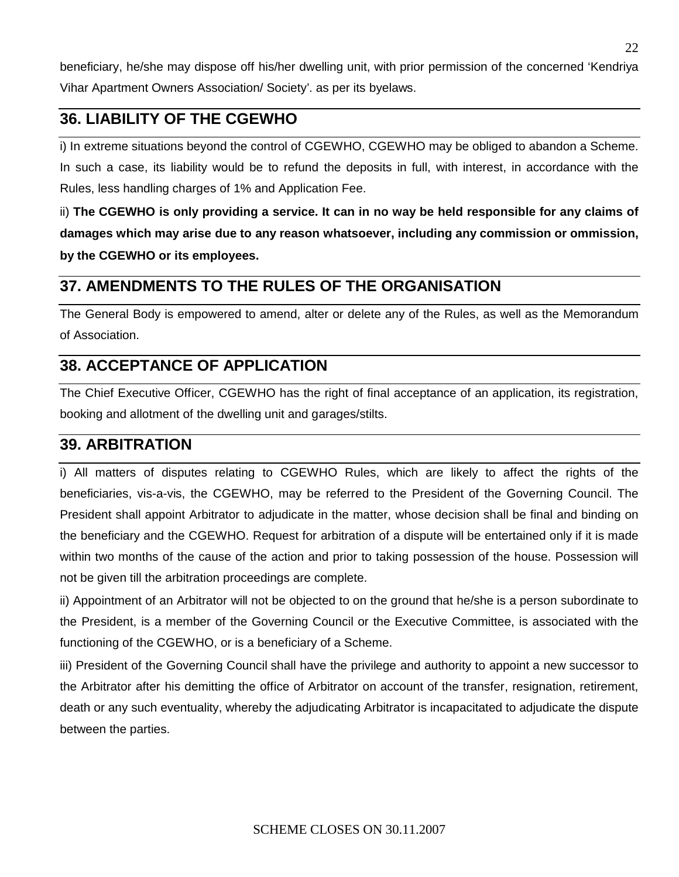beneficiary, he/she may dispose off his/her dwelling unit, with prior permission of the concerned 'Kendriya Vihar Apartment Owners Association/ Society'. as per its byelaws.

## **36. LIABILITY OF THE CGEWHO**

i) In extreme situations beyond the control of CGEWHO, CGEWHO may be obliged to abandon a Scheme. In such a case, its liability would be to refund the deposits in full, with interest, in accordance with the Rules, less handling charges of 1% and Application Fee.

ii) **The CGEWHO is only providing a service. It can in no way be held responsible for any claims of damages which may arise due to any reason whatsoever, including any commission or ommission, by the CGEWHO or its employees.**

## **37. AMENDMENTS TO THE RULES OF THE ORGANISATION**

The General Body is empowered to amend, alter or delete any of the Rules, as well as the Memorandum of Association.

## **38. ACCEPTANCE OF APPLICATION**

The Chief Executive Officer, CGEWHO has the right of final acceptance of an application, its registration, booking and allotment of the dwelling unit and garages/stilts.

## **39. ARBITRATION**

i) All matters of disputes relating to CGEWHO Rules, which are likely to affect the rights of the beneficiaries, vis-a-vis, the CGEWHO, may be referred to the President of the Governing Council. The President shall appoint Arbitrator to adjudicate in the matter, whose decision shall be final and binding on the beneficiary and the CGEWHO. Request for arbitration of a dispute will be entertained only if it is made within two months of the cause of the action and prior to taking possession of the house. Possession will not be given till the arbitration proceedings are complete.

ii) Appointment of an Arbitrator will not be objected to on the ground that he/she is a person subordinate to the President, is a member of the Governing Council or the Executive Committee, is associated with the functioning of the CGEWHO, or is a beneficiary of a Scheme.

iii) President of the Governing Council shall have the privilege and authority to appoint a new successor to the Arbitrator after his demitting the office of Arbitrator on account of the transfer, resignation, retirement, death or any such eventuality, whereby the adjudicating Arbitrator is incapacitated to adjudicate the dispute between the parties.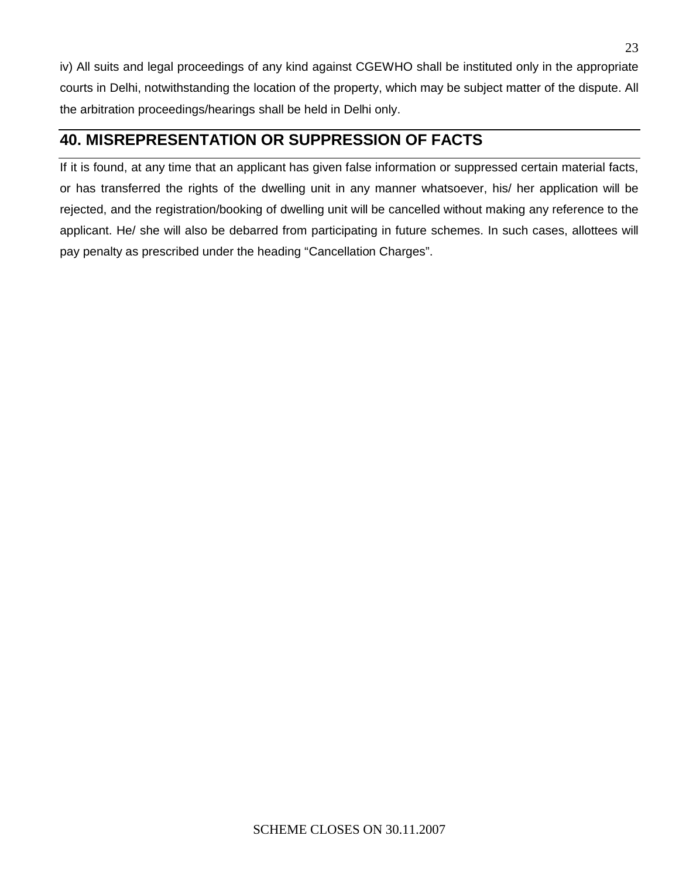iv) All suits and legal proceedings of any kind against CGEWHO shall be instituted only in the appropriate courts in Delhi, notwithstanding the location of the property, which may be subject matter of the dispute. All the arbitration proceedings/hearings shall be held in Delhi only.

## **40. MISREPRESENTATION OR SUPPRESSION OF FACTS**

If it is found, at any time that an applicant has given false information or suppressed certain material facts, or has transferred the rights of the dwelling unit in any manner whatsoever, his/ her application will be rejected, and the registration/booking of dwelling unit will be cancelled without making any reference to the applicant. He/ she will also be debarred from participating in future schemes. In such cases, allottees will pay penalty as prescribed under the heading "Cancellation Charges".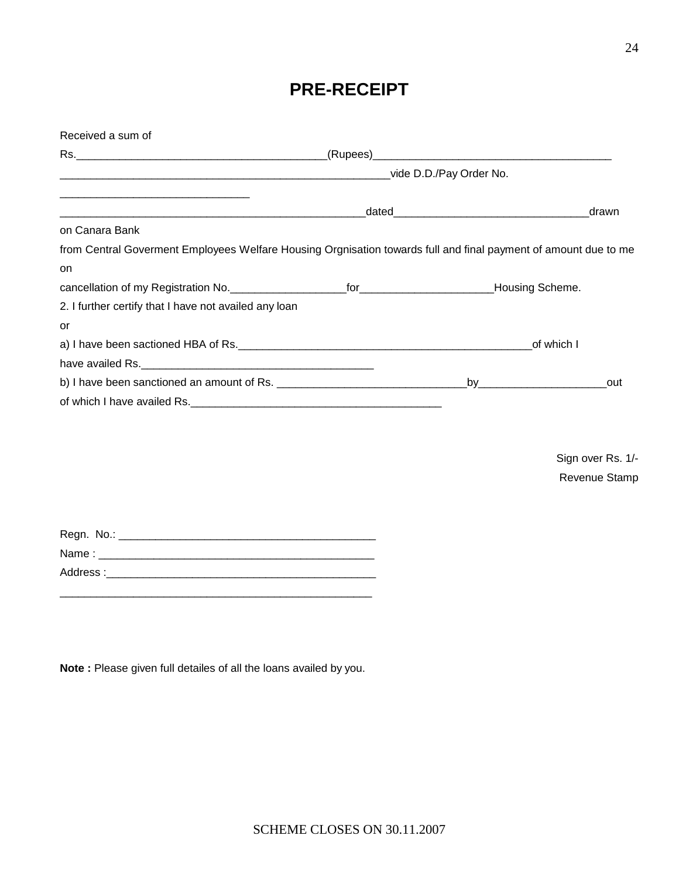Regn. No.: \_\_\_\_\_\_\_\_\_\_\_\_\_\_\_\_\_\_\_\_\_\_\_\_\_\_\_\_\_\_\_\_\_\_\_\_\_\_\_\_\_\_

Address :\_\_\_\_\_\_\_\_\_\_\_\_\_\_\_\_\_\_\_\_\_\_\_\_\_\_\_\_\_\_\_\_\_\_\_\_\_\_\_\_\_\_\_\_

Name : \_\_\_\_\_\_\_\_\_\_\_\_\_\_\_\_\_\_\_\_\_\_\_\_\_\_\_\_\_\_\_\_\_\_\_\_\_\_\_\_\_\_\_\_\_

\_\_\_\_\_\_\_\_\_\_\_\_\_\_\_\_\_\_\_\_\_\_\_\_\_\_\_\_\_\_\_\_\_\_\_\_\_\_\_\_\_\_\_\_\_\_\_\_\_\_\_

Received a sum of

|                                                                                                                 |  |            | drawn |  |
|-----------------------------------------------------------------------------------------------------------------|--|------------|-------|--|
| on Canara Bank                                                                                                  |  |            |       |  |
| from Central Goverment Employees Welfare Housing Orgnisation towards full and final payment of amount due to me |  |            |       |  |
| on                                                                                                              |  |            |       |  |
|                                                                                                                 |  |            |       |  |
| 2. I further certify that I have not availed any loan                                                           |  |            |       |  |
| or                                                                                                              |  |            |       |  |
|                                                                                                                 |  | of which I |       |  |
|                                                                                                                 |  |            |       |  |
|                                                                                                                 |  |            | out   |  |
|                                                                                                                 |  |            |       |  |

**PRE-RECEIPT**

Sign over Rs. 1/- Revenue Stamp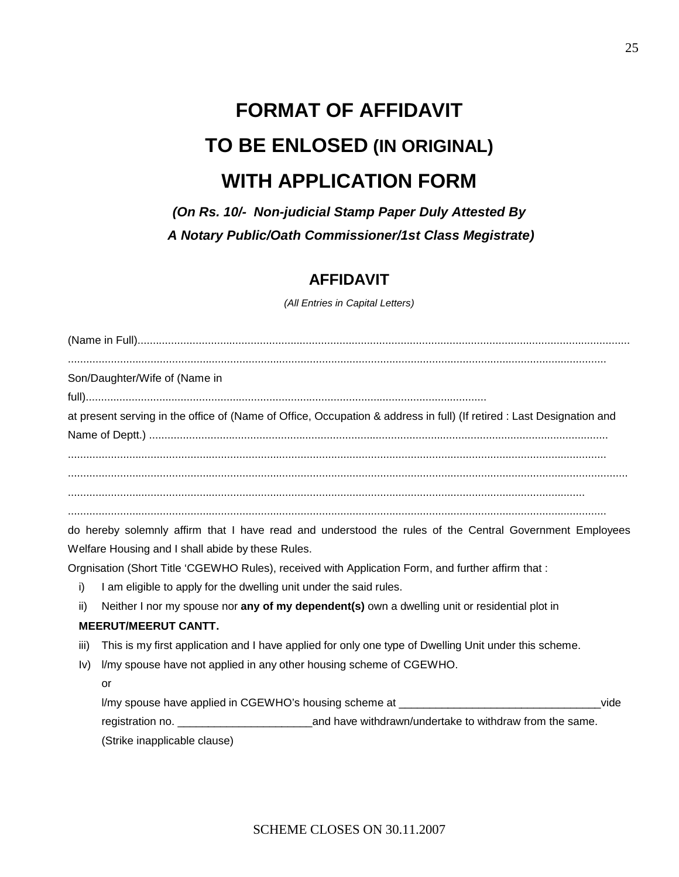# **FORMAT OF AFFIDAVIT TO BE ENLOSED (IN ORIGINAL) WITH APPLICATION FORM**

*(On Rs. 10/- Non-judicial Stamp Paper Duly Attested By A Notary Public/Oath Commissioner/1st Class Megistrate)*

## **AFFIDAVIT**

*(All Entries in Capital Letters)*

| at present serving in the office of (Name of Office, Occupation & address in full) (If retired : Last Designation and |
|-----------------------------------------------------------------------------------------------------------------------|
|                                                                                                                       |
|                                                                                                                       |
|                                                                                                                       |
|                                                                                                                       |
| do hereby solemnly affirm that I have read and understood the rules of the Central Government Employees               |
|                                                                                                                       |
|                                                                                                                       |
|                                                                                                                       |
| Neither I nor my spouse nor any of my dependent(s) own a dwelling unit or residential plot in                         |
|                                                                                                                       |
| This is my first application and I have applied for only one type of Dwelling Unit under this scheme.                 |
|                                                                                                                       |
|                                                                                                                       |
| I/my spouse have applied in CGEWHO's housing scheme at ________________________________<br>vide                       |
|                                                                                                                       |
|                                                                                                                       |
|                                                                                                                       |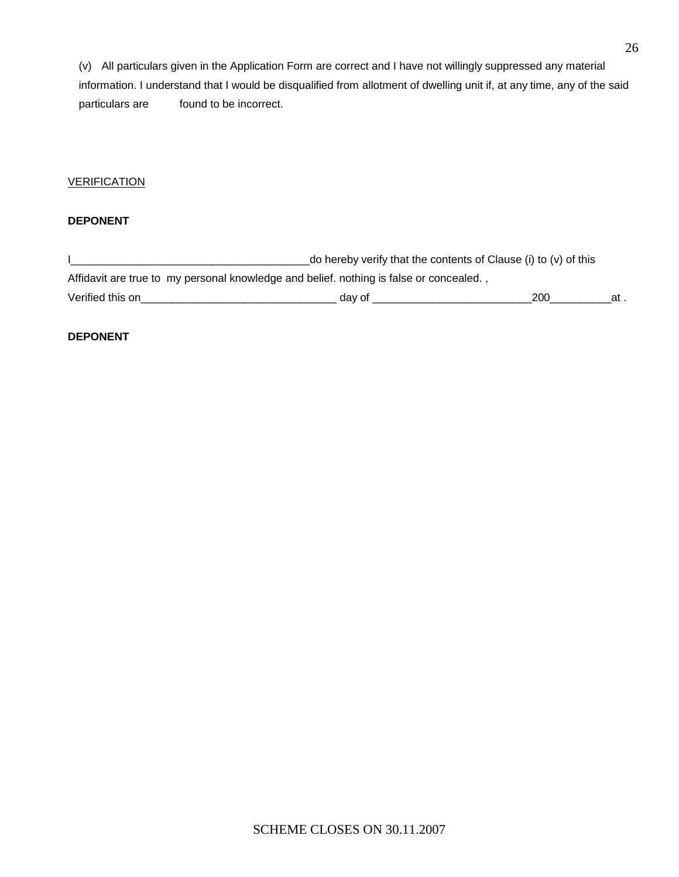(v) All particulars given in the Application Form are correct and I have not willingly suppressed any material information. I understand that I would be disqualified from allotment of dwelling unit if, at any time, any of the said particulars are found to be incorrect.

#### **VERIFICATION**

#### **DEPONENT**

I\_\_\_\_\_\_\_\_\_\_\_\_\_\_\_\_\_\_\_\_\_\_\_\_\_\_\_\_\_\_\_\_\_\_\_\_\_\_\_do hereby verify that the contents of Clause (i) to (v) of this Affidavit are true to my personal knowledge and belief. nothing is false or concealed. , Verified this on\_\_\_\_\_\_\_\_\_\_\_\_\_\_\_\_\_\_\_\_\_\_\_\_\_\_\_\_\_\_\_\_ day of \_\_\_\_\_\_\_\_\_\_\_\_\_\_\_\_\_\_\_\_\_\_\_\_\_\_200\_\_\_\_\_\_\_\_\_\_at .

#### **DEPONENT**